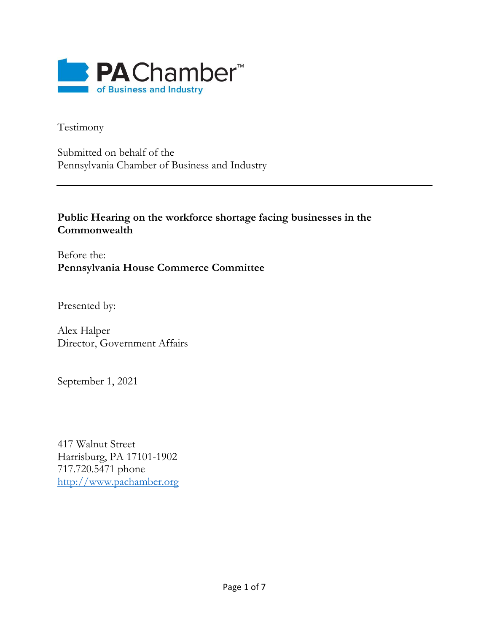

Testimony

Submitted on behalf of the Pennsylvania Chamber of Business and Industry

## **Public Hearing on the workforce shortage facing businesses in the Commonwealth**

Before the: **Pennsylvania House Commerce Committee**

Presented by:

Alex Halper Director, Government Affairs

September 1, 2021

417 Walnut Street Harrisburg, PA 17101-1902 717.720.5471 phone [http://www.pachamber.org](http://www.pachamber.org/)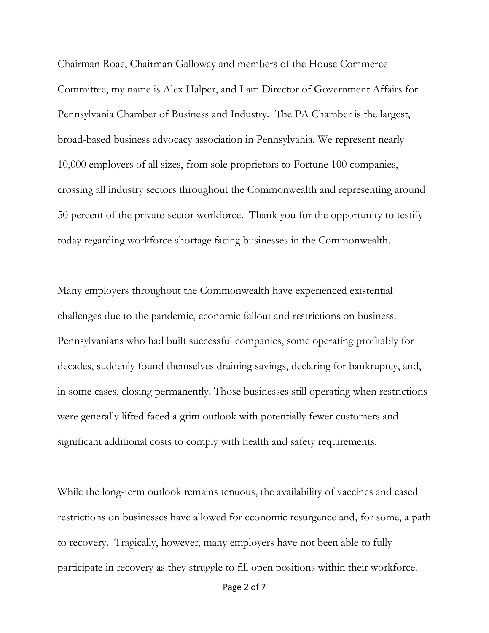Chairman Roae, Chairman Galloway and members of the House Commerce Committee, my name is Alex Halper, and I am Director of Government Affairs for Pennsylvania Chamber of Business and Industry. The PA Chamber is the largest, broad-based business advocacy association in Pennsylvania. We represent nearly 10,000 employers of all sizes, from sole proprietors to Fortune 100 companies, crossing all industry sectors throughout the Commonwealth and representing around 50 percent of the private-sector workforce. Thank you for the opportunity to testify today regarding workforce shortage facing businesses in the Commonwealth.

Many employers throughout the Commonwealth have experienced existential challenges due to the pandemic, economic fallout and restrictions on business. Pennsylvanians who had built successful companies, some operating profitably for decades, suddenly found themselves draining savings, declaring for bankruptcy, and, in some cases, closing permanently. Those businesses still operating when restrictions were generally lifted faced a grim outlook with potentially fewer customers and significant additional costs to comply with health and safety requirements.

While the long-term outlook remains tenuous, the availability of vaccines and eased restrictions on businesses have allowed for economic resurgence and, for some, a path to recovery. Tragically, however, many employers have not been able to fully participate in recovery as they struggle to fill open positions within their workforce.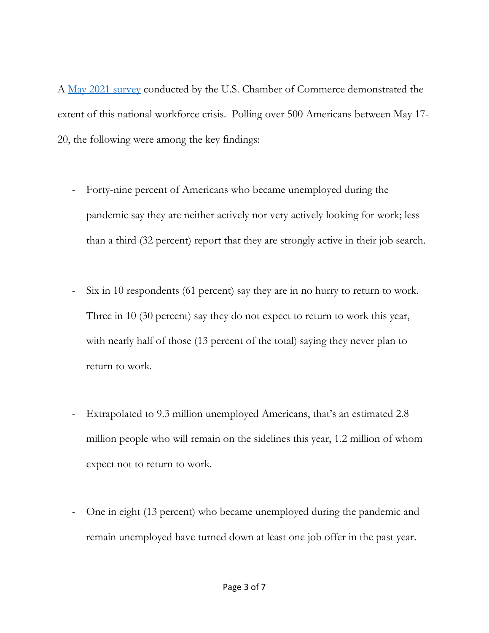A [May 2021 survey](https://www.uschamber.com/report/poll-the-covid-19-unemployed) conducted by the U.S. Chamber of Commerce demonstrated the extent of this national workforce crisis. Polling over 500 Americans between May 17- 20, the following were among the key findings:

- Forty-nine percent of Americans who became unemployed during the pandemic say they are neither actively nor very actively looking for work; less than a third (32 percent) report that they are strongly active in their job search.
- Six in 10 respondents (61 percent) say they are in no hurry to return to work. Three in 10 (30 percent) say they do not expect to return to work this year, with nearly half of those (13 percent of the total) saying they never plan to return to work.
- Extrapolated to 9.3 million unemployed Americans, that's an estimated 2.8 million people who will remain on the sidelines this year, 1.2 million of whom expect not to return to work.
- One in eight (13 percent) who became unemployed during the pandemic and remain unemployed have turned down at least one job offer in the past year.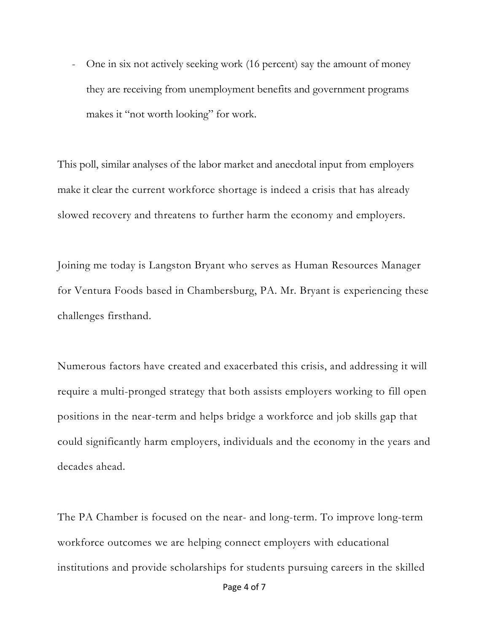- One in six not actively seeking work (16 percent) say the amount of money they are receiving from unemployment benefits and government programs makes it "not worth looking" for work.

This poll, similar analyses of the labor market and anecdotal input from employers make it clear the current workforce shortage is indeed a crisis that has already slowed recovery and threatens to further harm the economy and employers.

Joining me today is Langston Bryant who serves as Human Resources Manager for Ventura Foods based in Chambersburg, PA. Mr. Bryant is experiencing these challenges firsthand.

Numerous factors have created and exacerbated this crisis, and addressing it will require a multi-pronged strategy that both assists employers working to fill open positions in the near-term and helps bridge a workforce and job skills gap that could significantly harm employers, individuals and the economy in the years and decades ahead.

The PA Chamber is focused on the near- and long-term. To improve long-term workforce outcomes we are helping connect employers with educational institutions and provide scholarships for students pursuing careers in the skilled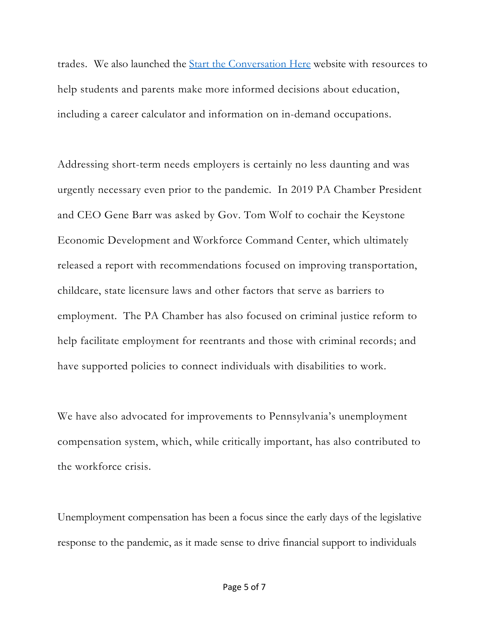trades. We also launched the [Start the Conversation Here](https://linkprotect.cudasvc.com/url?a=https%3a%2f%2fwww.starttheconversationhere.com%2f&c=E,1,l5EUxkwTcXxJDIN5Vz0Vc2gmcC7p8_FBfu2HecJJjWfYV319fXg3QmRenS5i87fjTWU4RwPurcq2DxUtYGSq_ffqgw3BG2wYjjDhC9ALDTI,&typo=1) website with resources to help students and parents make more informed decisions about education, including a career calculator and information on in-demand occupations.

Addressing short-term needs employers is certainly no less daunting and was urgently necessary even prior to the pandemic. In 2019 PA Chamber President and CEO Gene Barr was asked by Gov. Tom Wolf to cochair the Keystone Economic Development and Workforce Command Center, which ultimately released a report with recommendations focused on improving transportation, childcare, state licensure laws and other factors that serve as barriers to employment. The PA Chamber has also focused on criminal justice reform to help facilitate employment for reentrants and those with criminal records; and have supported policies to connect individuals with disabilities to work.

We have also advocated for improvements to Pennsylvania's unemployment compensation system, which, while critically important, has also contributed to the workforce crisis.

Unemployment compensation has been a focus since the early days of the legislative response to the pandemic, as it made sense to drive financial support to individuals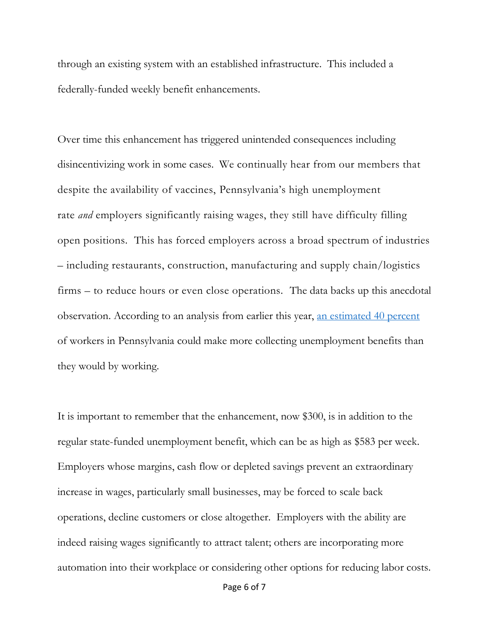through an existing system with an established infrastructure. This included a federally-funded weekly benefit enhancements.

Over time this enhancement has triggered unintended consequences including disincentivizing work in some cases. We continually hear from our members that despite the availability of vaccines, Pennsylvania's high unemployment rate *and* employers significantly raising wages, they still have difficulty filling open positions. This has forced employers across a broad spectrum of industries – including restaurants, construction, manufacturing and supply chain/logistics firms – to reduce hours or even close operations. The data backs up this anecdotal observation. According to an analysis from earlier this year, [an estimated 40 percent](https://www.americanactionforum.org/research/revisiting-federal-pandemic-unemployment-compensation-under-the-biden-administration/) of workers in Pennsylvania could make more collecting unemployment benefits than they would by working.

It is important to remember that the enhancement, now \$300, is in addition to the regular state-funded unemployment benefit, which can be as high as \$583 per week. Employers whose margins, cash flow or depleted savings prevent an extraordinary increase in wages, particularly small businesses, may be forced to scale back operations, decline customers or close altogether. Employers with the ability are indeed raising wages significantly to attract talent; others are incorporating more automation into their workplace or considering other options for reducing labor costs.